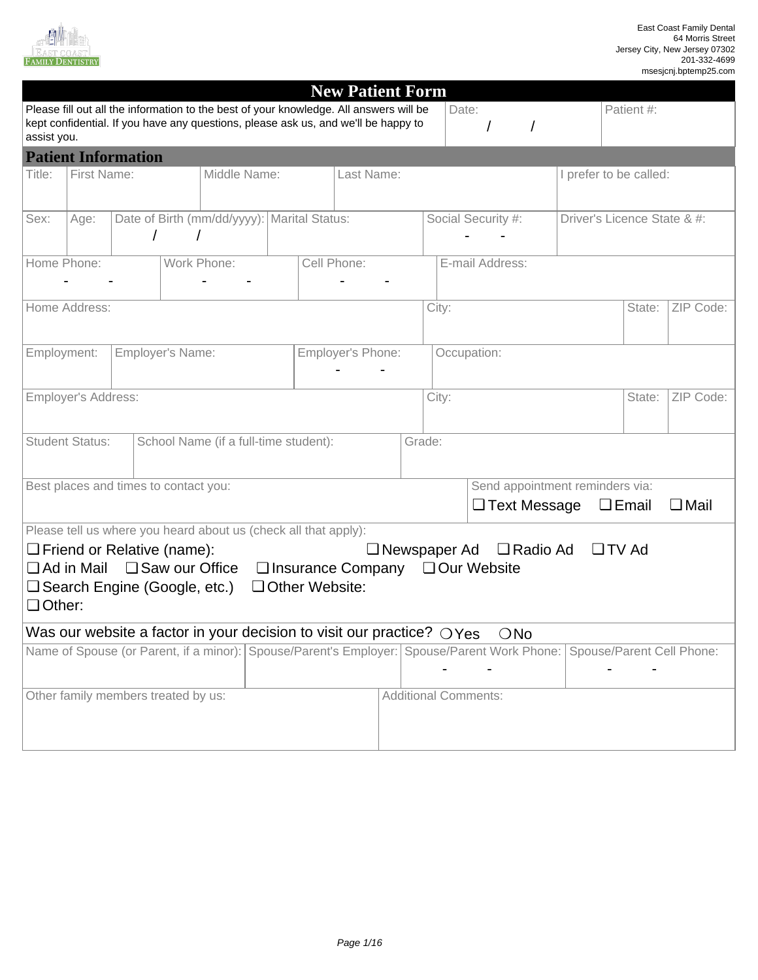

MN

 $\overline{\phantom{a}}$ 

| assist you.                                                                                                                                                                                                                                                 |                                                                     |                                       |             |                                                                 |  |  | <b>New Patient Form</b><br>Please fill out all the information to the best of your knowledge. All answers will be<br>kept confidential. If you have any questions, please ask us, and we'll be happy to |        |       | Date:                           |                             | Patient #:   |                |
|-------------------------------------------------------------------------------------------------------------------------------------------------------------------------------------------------------------------------------------------------------------|---------------------------------------------------------------------|---------------------------------------|-------------|-----------------------------------------------------------------|--|--|---------------------------------------------------------------------------------------------------------------------------------------------------------------------------------------------------------|--------|-------|---------------------------------|-----------------------------|--------------|----------------|
|                                                                                                                                                                                                                                                             |                                                                     | <b>Patient Information</b>            |             |                                                                 |  |  |                                                                                                                                                                                                         |        |       |                                 |                             |              |                |
| Title:                                                                                                                                                                                                                                                      | First Name:                                                         |                                       |             | Middle Name:                                                    |  |  | Last Name:                                                                                                                                                                                              |        |       |                                 | I prefer to be called:      |              |                |
| Sex:                                                                                                                                                                                                                                                        | Age:                                                                |                                       |             | Date of Birth (mm/dd/yyyy): Marital Status:                     |  |  |                                                                                                                                                                                                         |        |       | Social Security #:              | Driver's Licence State & #: |              |                |
| Home Phone:                                                                                                                                                                                                                                                 |                                                                     |                                       | Work Phone: |                                                                 |  |  | Cell Phone:                                                                                                                                                                                             |        |       | E-mail Address:                 |                             |              |                |
|                                                                                                                                                                                                                                                             | Home Address:                                                       |                                       |             |                                                                 |  |  |                                                                                                                                                                                                         |        | City: |                                 |                             | State:       | ZIP Code:      |
|                                                                                                                                                                                                                                                             | Employment:<br>Employer's Name:<br>Employer's Phone:<br>Occupation: |                                       |             |                                                                 |  |  |                                                                                                                                                                                                         |        |       |                                 |                             |              |                |
|                                                                                                                                                                                                                                                             | <b>Employer's Address:</b>                                          |                                       |             |                                                                 |  |  |                                                                                                                                                                                                         |        | City: |                                 |                             | State:       | ZIP Code:      |
|                                                                                                                                                                                                                                                             | <b>Student Status:</b>                                              |                                       |             | School Name (if a full-time student):                           |  |  |                                                                                                                                                                                                         | Grade: |       |                                 |                             |              |                |
|                                                                                                                                                                                                                                                             |                                                                     | Best places and times to contact you: |             |                                                                 |  |  |                                                                                                                                                                                                         |        |       | Send appointment reminders via: |                             |              |                |
|                                                                                                                                                                                                                                                             |                                                                     |                                       |             |                                                                 |  |  |                                                                                                                                                                                                         |        |       | □ Text Message                  |                             | $\Box$ Email | $\square$ Mail |
|                                                                                                                                                                                                                                                             |                                                                     |                                       |             | Please tell us where you heard about us (check all that apply): |  |  |                                                                                                                                                                                                         |        |       |                                 |                             |              |                |
| $\Box$ Friend or Relative (name):<br>$\Box$ TV Ad<br>$\Box$ Newspaper Ad<br>$\Box$ Radio Ad<br>$\Box$ Ad in Mail<br>□ Saw our Office<br>$\Box$ Insurance Company<br>□ Our Website<br>Other Website:<br>$\Box$ Search Engine (Google, etc.)<br>$\Box$ Other: |                                                                     |                                       |             |                                                                 |  |  |                                                                                                                                                                                                         |        |       |                                 |                             |              |                |
|                                                                                                                                                                                                                                                             |                                                                     |                                       |             |                                                                 |  |  | Was our website a factor in your decision to visit our practice? OYes                                                                                                                                   |        |       | $\bigcirc$ No                   |                             |              |                |
| Name of Spouse (or Parent, if a minor): Spouse/Parent's Employer: Spouse/Parent Work Phone:<br>Spouse/Parent Cell Phone:                                                                                                                                    |                                                                     |                                       |             |                                                                 |  |  |                                                                                                                                                                                                         |        |       |                                 |                             |              |                |
|                                                                                                                                                                                                                                                             |                                                                     | Other family members treated by us:   |             |                                                                 |  |  |                                                                                                                                                                                                         |        |       | <b>Additional Comments:</b>     |                             |              |                |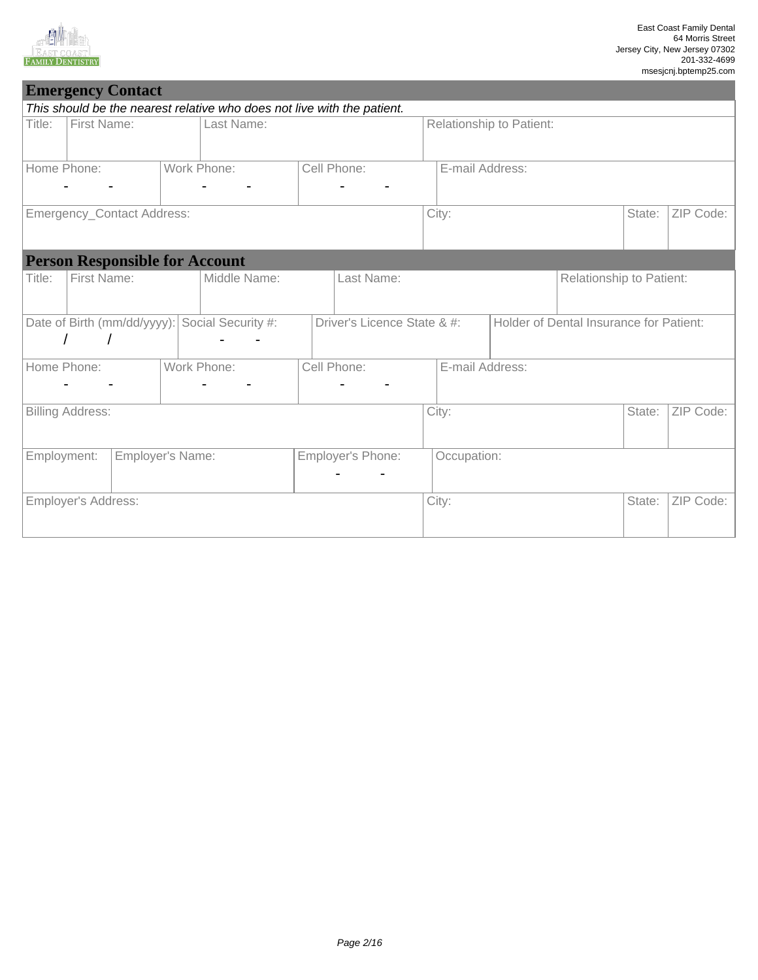

CT

|             | <b>Emergency Contact</b>              |                  |             |                                                                         |  |                             |  |                 |                          |                                         |        |           |
|-------------|---------------------------------------|------------------|-------------|-------------------------------------------------------------------------|--|-----------------------------|--|-----------------|--------------------------|-----------------------------------------|--------|-----------|
|             |                                       |                  |             | This should be the nearest relative who does not live with the patient. |  |                             |  |                 |                          |                                         |        |           |
| Title:      | First Name:                           |                  |             | Last Name:                                                              |  |                             |  |                 | Relationship to Patient: |                                         |        |           |
| Home Phone: |                                       |                  | Work Phone: |                                                                         |  | Cell Phone:                 |  | E-mail Address: |                          |                                         |        |           |
|             | Emergency_Contact Address:            |                  |             |                                                                         |  |                             |  | City:           |                          |                                         | State: | ZIP Code: |
|             | <b>Person Responsible for Account</b> |                  |             |                                                                         |  |                             |  |                 |                          |                                         |        |           |
| Title:      | First Name:                           |                  |             | Middle Name:                                                            |  | Last Name:                  |  |                 |                          | Relationship to Patient:                |        |           |
|             |                                       |                  |             | Date of Birth (mm/dd/yyyy): Social Security #:                          |  | Driver's Licence State & #: |  |                 |                          | Holder of Dental Insurance for Patient: |        |           |
| Home Phone: |                                       |                  | Work Phone: |                                                                         |  | Cell Phone:                 |  | E-mail Address: |                          |                                         |        |           |
|             | <b>Billing Address:</b>               |                  |             |                                                                         |  |                             |  | City:           |                          |                                         | State: | ZIP Code: |
| Employment: |                                       | Employer's Name: |             |                                                                         |  | Employer's Phone:           |  | Occupation:     |                          |                                         |        |           |
|             | Employer's Address:                   |                  |             |                                                                         |  |                             |  | City:           |                          |                                         | State: | ZIP Code: |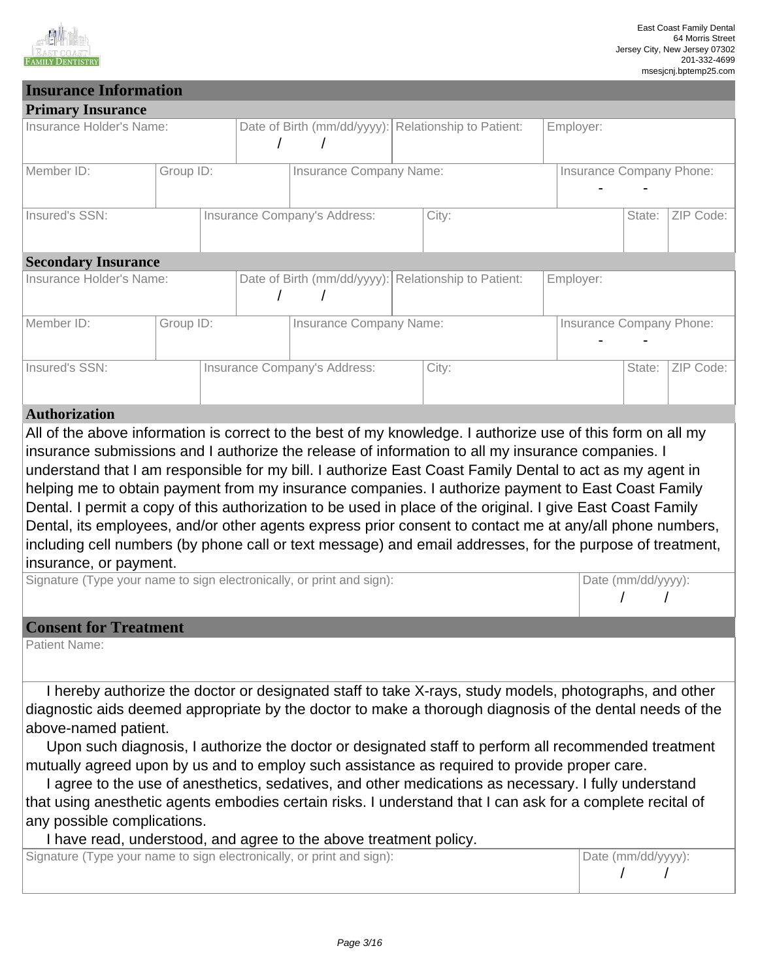

#### **Insurance Information Primary Insurance** Insurance Holder's Name: | Date of Birth (mm/dd/yyyy): Relationship to Patient: | Employer: / / Member ID: Group ID: Insurance Company Name: Insurance Company Phone: - - Insured's SSN: Sate: | Insurance Company's Address: City: State: | State: | ZIP Code: | State: | ZIP Code: | ZIP Code: | State: | ZIP Code: | State: | ZIP Code: | State: | ZIP Code: | State: | ZIP Code: | State: | ZIP Code **Secondary Insurance** Insurance Holder's Name: | Date of Birth (mm/dd/yyyy): Relationship to Patient: | Employer: / / Member ID: Since Group ID: Sand All All Annual Company Name: Insurance Company Phone: Insurance Company Phone: - - Insured's SSN: Insurance Company's Address: City: City: State: ZIP Code: **Authorization** Autnorization<br>All of the above information is correct to the best of my knowledge. I authorize use of this form on all my Further the above information is correct to the best of my information to all my insurance companies. In strategies and I authorize the release of information to all my insurance companies. I Instituted Submissions and Fauthorize the release of information to all my institutive companies. The increase o<br>understand that I am responsible for my bill. I authorize East Coast Family Dental to act as my agent in 01 03 06 09  $\overline{\bigcup_{n \in \mathbb{N}}$  $\mathbb{R}^2$  $\overline{\phantom{a}}$ 06  $\overline{1}$ 10 11 14 <u>2022</u> 2024  $\frac{1}{2}$  $\frac{1}{2}$ 2016 AL AR <u>c</u> CT State: FL HI ile<br>. ny 01 03 06  $\frac{1}{2}$  and the best of my knowledge I authorize use of this form of notize the release of information to all my insurance companies for my hill I authorize Fast Coast Family Dental to act as my  $\overline{\bigcup_{n \in \mathbb{N}}$  $\mathbb{R}^2$  $\overline{\phantom{a}}$ 06 <u>2022</u> 2024 AL

anderstand that I am responsible for my bill. I dathorize East Coast I anniy Bental to dot as my agent in helping me to obtain payment from my insurance companies. I authorize payment to East Coast Family noiping me to obtain payment noni my institution companies. I dationze payment to East Coast Family<br>Dental. I permit a copy of this authorization to be used in place of the original. I give East Coast Family Dental, its employees, and/or other agents express prior consent to contact me at any/all phone numbers, including cell numbers (by phone call or text message) and email addresses, for the purpose of treatment, 21 insurance, or payment.  $\ddot{\phantom{2}}$ ,,,,,,,<br>.... essage) and email addresses, for the purpose of Ja as one<br>.  $\overline{\phantom{a}}$ my bill, I durible East Coast I alling Dontal to act as my a horization to be used in place of the original I give East Coast<br>borization to be used in place of the original I give East Coast er agents express prior consent to contact me at any/all phone they message) and email addresses for the nurnose of  $\cdot$   $\circ$  $\frac{1}{\sqrt{2}}$ 

2005

2013 2012

n Barance, or payment:<br>Signature (Type your name to sign electronically, or print and sign): Date (mm/dd/yyyy):  $\overline{a}$  $\frac{1}{200}$  $\overline{a}$  $\overline{\mathsf{v}}$  or print and

## **Consent for Treatment**

Patient Name:

I hereby authorize the doctor or designated staff to take X-rays, study models, photographs, and other diagnostic aids deemed appropriate by the doctor to make a thorough diagnosis of the dental needs of the above-named patient. 31 ⊃oo…<br>2t∩r tr  $101$  to make a thorough diagnosis of the defital fit וס,<br>י gnated staff to take X-rays, study models, photographs, and othe the doctor to make a thorough diagnosis of the dental net LA e dental needs of t

above-named patient.<br>Upon such diagnosis, I authorize the doctor or designated staff to perform all recommended treatment mutually agreed upon by us and to employ such assistance as required to provide proper care. icu<br>.  $\overline{5}$ . doctor or designated staff to perform all recommended treatmer loy such assistance as required to provide proper care.

I agree to the use of anesthetics, sedatives, and other medications as necessary. I fully understand that using anesthetic agents embodies certain risks. I understand that I can ask for a complete recital of any possible complications. ilishs. I driderstand that I can ask for a complete nut<br>T latives, and other medications as necessary. I fully understand certain risks. I understand that I can ask for a complete m<sub>a</sub> complete recital of

I have read, understood, and agree to the above treatment policy.

Signature (Type your name to sign electronically, or print and sign): Date (mm/dd/yyyy): 1992 30 2000

25

17 18

16

01

2019

01

/ /

2019 2020

mac

HI IA

01 02

01 02

MI

<u>1990 - 1990 - 1990 - 1990 - 1990 - 1990 - 1990 - 1990 - 1990 - 1990 - 1990 - 1990 - 1990 - 1990 - 1990 - 1990 </u>

1998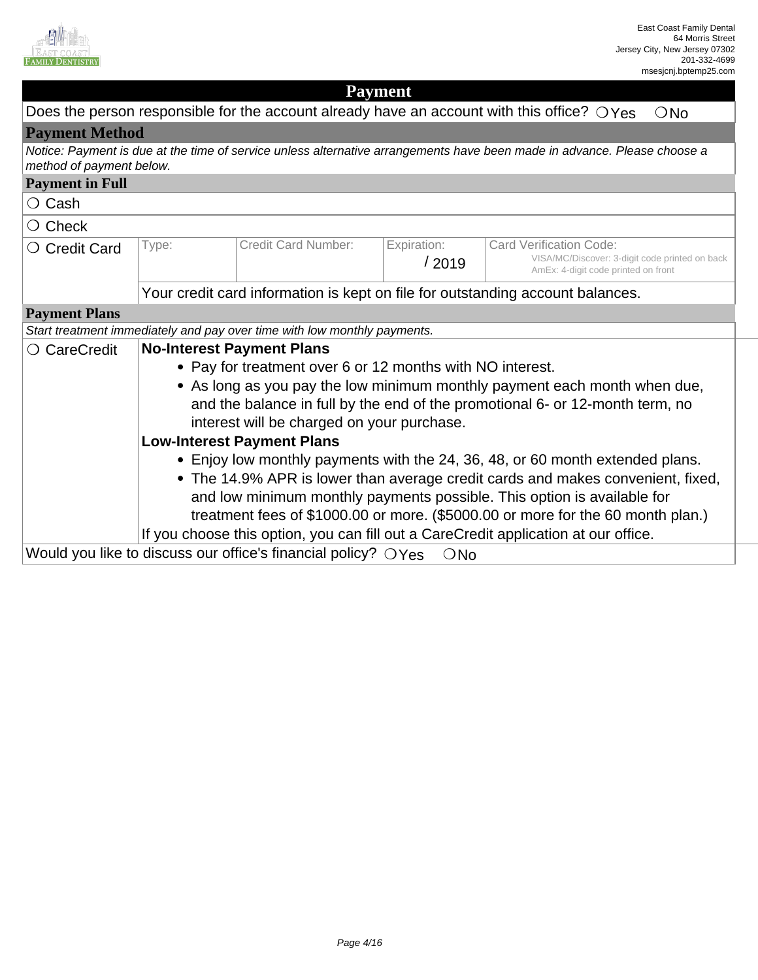

| <b>Payment</b>                                                                                                                                                                                                                                                                                                                                                                                                        |                                                                                                                       |                                                                                                                                             |                                                                                                                                                 |                                                                                                                                                            |  |  |  |
|-----------------------------------------------------------------------------------------------------------------------------------------------------------------------------------------------------------------------------------------------------------------------------------------------------------------------------------------------------------------------------------------------------------------------|-----------------------------------------------------------------------------------------------------------------------|---------------------------------------------------------------------------------------------------------------------------------------------|-------------------------------------------------------------------------------------------------------------------------------------------------|------------------------------------------------------------------------------------------------------------------------------------------------------------|--|--|--|
|                                                                                                                                                                                                                                                                                                                                                                                                                       | Does the person responsible for the account already have an account with this office? $\bigcirc$ Yes<br>$\bigcirc$ No |                                                                                                                                             |                                                                                                                                                 |                                                                                                                                                            |  |  |  |
| <b>Payment Method</b>                                                                                                                                                                                                                                                                                                                                                                                                 |                                                                                                                       |                                                                                                                                             |                                                                                                                                                 |                                                                                                                                                            |  |  |  |
| method of payment below.                                                                                                                                                                                                                                                                                                                                                                                              |                                                                                                                       |                                                                                                                                             |                                                                                                                                                 | Notice: Payment is due at the time of service unless alternative arrangements have been made in advance. Please choose a                                   |  |  |  |
| <b>Payment in Full</b>                                                                                                                                                                                                                                                                                                                                                                                                |                                                                                                                       |                                                                                                                                             |                                                                                                                                                 |                                                                                                                                                            |  |  |  |
| ○ Cash                                                                                                                                                                                                                                                                                                                                                                                                                |                                                                                                                       |                                                                                                                                             |                                                                                                                                                 |                                                                                                                                                            |  |  |  |
| $\bigcirc$ Check                                                                                                                                                                                                                                                                                                                                                                                                      |                                                                                                                       |                                                                                                                                             |                                                                                                                                                 |                                                                                                                                                            |  |  |  |
| O Credit Card                                                                                                                                                                                                                                                                                                                                                                                                         | Type:                                                                                                                 | <b>Credit Card Number:</b>                                                                                                                  | Expiration:<br><b>Card Verification Code:</b><br>VISA/MC/Discover: 3-digit code printed on back<br>/2019<br>AmEx: 4-digit code printed on front |                                                                                                                                                            |  |  |  |
|                                                                                                                                                                                                                                                                                                                                                                                                                       |                                                                                                                       |                                                                                                                                             |                                                                                                                                                 | Your credit card information is kept on file for outstanding account balances.                                                                             |  |  |  |
| <b>Payment Plans</b>                                                                                                                                                                                                                                                                                                                                                                                                  |                                                                                                                       |                                                                                                                                             |                                                                                                                                                 |                                                                                                                                                            |  |  |  |
|                                                                                                                                                                                                                                                                                                                                                                                                                       |                                                                                                                       | Start treatment immediately and pay over time with low monthly payments.                                                                    |                                                                                                                                                 |                                                                                                                                                            |  |  |  |
| ○ CareCredit                                                                                                                                                                                                                                                                                                                                                                                                          |                                                                                                                       | <b>No-Interest Payment Plans</b><br>• Pay for treatment over 6 or 12 months with NO interest.<br>interest will be charged on your purchase. |                                                                                                                                                 | • As long as you pay the low minimum monthly payment each month when due,<br>and the balance in full by the end of the promotional 6- or 12-month term, no |  |  |  |
|                                                                                                                                                                                                                                                                                                                                                                                                                       |                                                                                                                       | <b>Low-Interest Payment Plans</b>                                                                                                           |                                                                                                                                                 |                                                                                                                                                            |  |  |  |
| • Enjoy low monthly payments with the 24, 36, 48, or 60 month extended plans.<br>• The 14.9% APR is lower than average credit cards and makes convenient, fixed,<br>and low minimum monthly payments possible. This option is available for<br>treatment fees of \$1000.00 or more. (\$5000.00 or more for the 60 month plan.)<br>If you choose this option, you can fill out a CareCredit application at our office. |                                                                                                                       |                                                                                                                                             |                                                                                                                                                 |                                                                                                                                                            |  |  |  |
|                                                                                                                                                                                                                                                                                                                                                                                                                       |                                                                                                                       | Would you like to discuss our office's financial policy? $\bigcirc$ Yes                                                                     | ONo                                                                                                                                             |                                                                                                                                                            |  |  |  |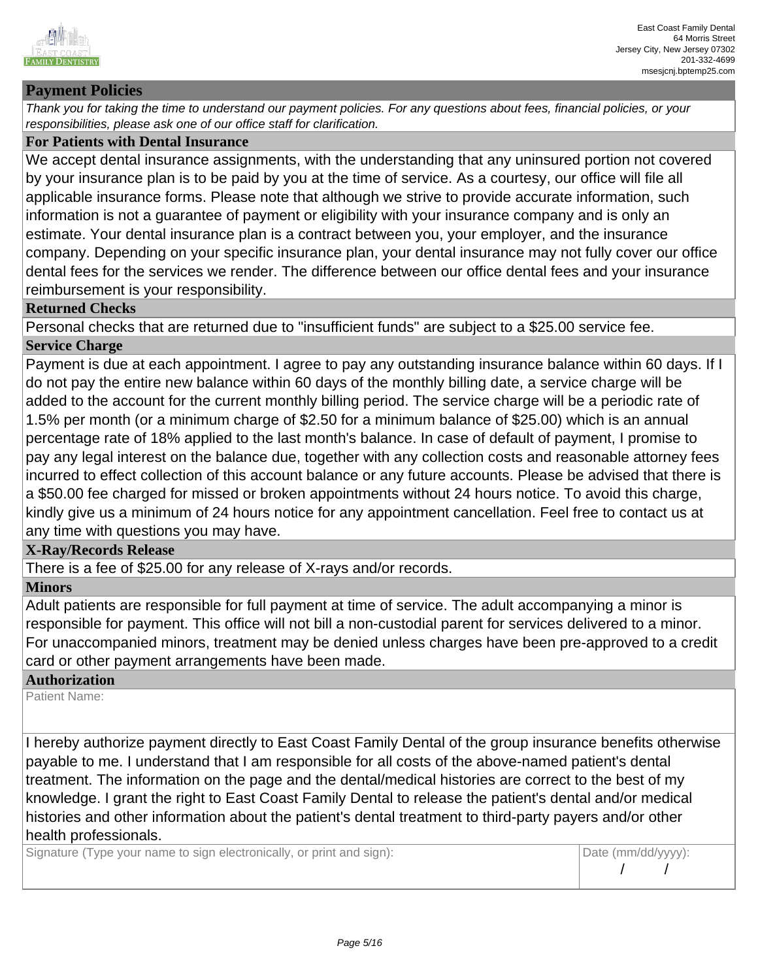

## **Payment Policies**

Thank you for taking the time to understand our payment policies. For any questions about fees, financial policies, or your responsibilities, please ask one of our office staff for clarification.

#### **For Patients with Dental Insurance**

We accept dental insurance assignments, with the understanding that any uninsured portion not covered by your insurance plan is to be paid by you at the time of service. As a courtesy, our office will file all applicable insurance forms. Please note that although we strive to provide accurate information, such information is not a guarantee of payment or eligibility with your insurance company and is only an estimate. Your dental insurance plan is a contract between you, your employer, and the insurance company. Depending on your specific insurance plan, your dental insurance may not fully cover our office dental fees for the services we render. The difference between our office dental fees and your insurance reimbursement is your responsibility.

#### **Returned Checks**

Personal checks that are returned due to "insufficient funds" are subject to a \$25.00 service fee. **Service Charge**

Payment is due at each appointment. I agree to pay any outstanding insurance balance within 60 days. If I do not pay the entire new balance within 60 days of the monthly billing date, a service charge will be added to the account for the current monthly billing period. The service charge will be a periodic rate of 1.5% per month (or a minimum charge of \$2.50 for a minimum balance of \$25.00) which is an annual percentage rate of 18% applied to the last month's balance. In case of default of payment, I promise to pay any legal interest on the balance due, together with any collection costs and reasonable attorney fees incurred to effect collection of this account balance or any future accounts. Please be advised that there is a \$50.00 fee charged for missed or broken appointments without 24 hours notice. To avoid this charge, kindly give us a minimum of 24 hours notice for any appointment cancellation. Feel free to contact us at any time with questions you may have.

### **X-Ray/Records Release**

There is a fee of \$25.00 for any release of X-rays and/or records.

#### **Minors**

Adult patients are responsible for full payment at time of service. The adult accompanying a minor is responsible for payment. This office will not bill a non-custodial parent for services delivered to a minor. For unaccompanied minors, treatment may be denied unless charges have been pre-approved to a credit card or other payment arrangements have been made.

#### **Authorization**

Patient Name:

I hereby authorize payment directly to East Coast Family Dental of the group insurance benefits otherwise payable to me. I understand that I am responsible for all costs of the above-named patient's dental treatment. The information on the page and the dental/medical histories are correct to the best of my knowledge. I grant the right to East Coast Family Dental to release the patient's dental and/or medical histories and other information about the patient's dental treatment to third-party payers and/or other health professionals.

Signature (Type your name to sign electronically, or print and sign): Date (mm/dd/yyyy):

 $\overline{\phantom{0}}$ 

2019

 $\overline{\phantom{0}}$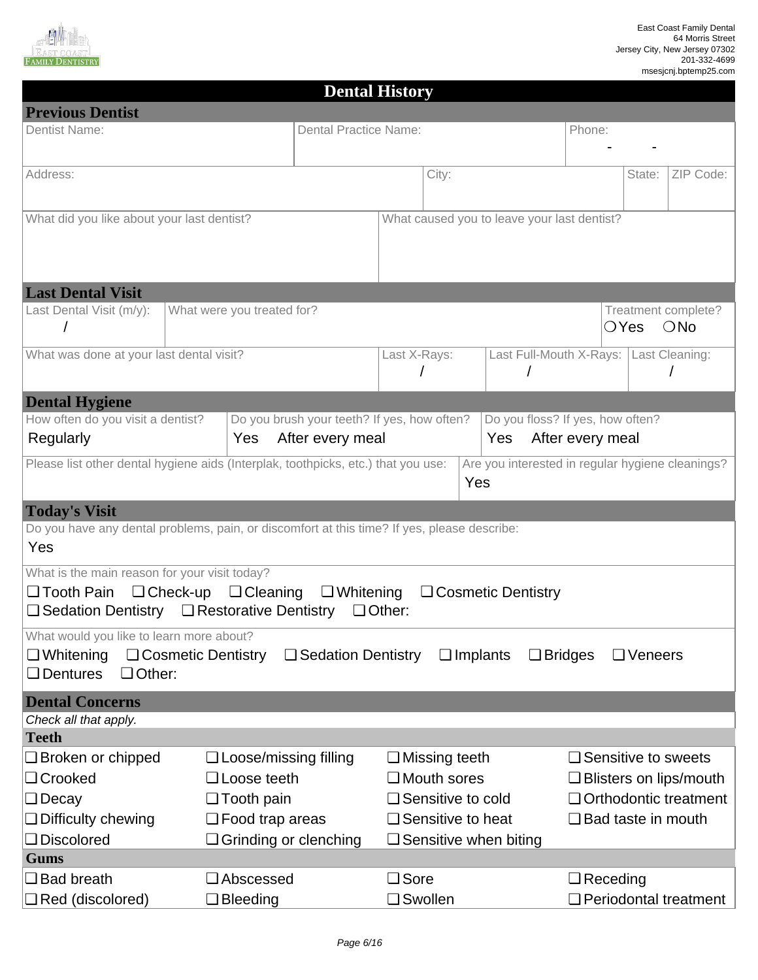

| <b>Dental History</b>                                                                       |                                                  |                                             |               |                          |                                                  |                  |                            |                               |
|---------------------------------------------------------------------------------------------|--------------------------------------------------|---------------------------------------------|---------------|--------------------------|--------------------------------------------------|------------------|----------------------------|-------------------------------|
| <b>Previous Dentist</b>                                                                     |                                                  |                                             |               |                          |                                                  |                  |                            |                               |
| <b>Dentist Name:</b>                                                                        |                                                  | <b>Dental Practice Name:</b>                |               |                          |                                                  | Phone:           |                            |                               |
|                                                                                             |                                                  |                                             |               |                          |                                                  |                  |                            |                               |
| Address:                                                                                    |                                                  |                                             |               | City:                    |                                                  |                  | State:                     | ZIP Code:                     |
|                                                                                             |                                                  |                                             |               |                          |                                                  |                  |                            |                               |
| What did you like about your last dentist?                                                  |                                                  |                                             |               |                          | What caused you to leave your last dentist?      |                  |                            |                               |
|                                                                                             |                                                  |                                             |               |                          |                                                  |                  |                            |                               |
|                                                                                             |                                                  |                                             |               |                          |                                                  |                  |                            |                               |
|                                                                                             |                                                  |                                             |               |                          |                                                  |                  |                            |                               |
| <b>Last Dental Visit</b><br>Last Dental Visit (m/y):                                        | What were you treated for?                       |                                             |               |                          |                                                  |                  |                            | Treatment complete?           |
|                                                                                             |                                                  |                                             |               |                          |                                                  |                  | $\bigcirc$ Yes             | ONo                           |
|                                                                                             |                                                  |                                             |               |                          |                                                  |                  |                            |                               |
| What was done at your last dental visit?                                                    |                                                  |                                             | Last X-Rays:  |                          | Last Full-Mouth X-Rays:                          |                  |                            | Last Cleaning:                |
|                                                                                             |                                                  |                                             |               |                          |                                                  |                  |                            |                               |
| <b>Dental Hygiene</b>                                                                       |                                                  |                                             |               |                          |                                                  |                  |                            |                               |
| How often do you visit a dentist?                                                           |                                                  | Do you brush your teeth? If yes, how often? |               |                          | Do you floss? If yes, how often?                 |                  |                            |                               |
| Regularly                                                                                   | Yes                                              | After every meal                            |               |                          | Yes                                              | After every meal |                            |                               |
| Please list other dental hygiene aids (Interplak, toothpicks, etc.) that you use:           |                                                  |                                             |               |                          | Are you interested in regular hygiene cleanings? |                  |                            |                               |
|                                                                                             |                                                  |                                             |               | Yes                      |                                                  |                  |                            |                               |
| <b>Today's Visit</b>                                                                        |                                                  |                                             |               |                          |                                                  |                  |                            |                               |
| Do you have any dental problems, pain, or discomfort at this time? If yes, please describe: |                                                  |                                             |               |                          |                                                  |                  |                            |                               |
| Yes                                                                                         |                                                  |                                             |               |                          |                                                  |                  |                            |                               |
| What is the main reason for your visit today?                                               |                                                  |                                             |               |                          |                                                  |                  |                            |                               |
| □ Tooth Pain                                                                                | $\Box$ Check-up $\Box$ Cleaning $\Box$ Whitening |                                             |               |                          | □ Cosmetic Dentistry                             |                  |                            |                               |
| □ Sedation Dentistry □ Restorative Dentistry                                                |                                                  |                                             | $\Box$ Other: |                          |                                                  |                  |                            |                               |
| What would you like to learn more about?                                                    |                                                  |                                             |               |                          |                                                  |                  |                            |                               |
| $\Box$ Whitening<br>□ Cosmetic Dentistry                                                    |                                                  | $\Box$ Sedation Dentistry                   |               | $\Box$ Implants          |                                                  | $\Box$ Bridges   | $\Box$ Veneers             |                               |
| □ Other:<br>$\Box$ Dentures                                                                 |                                                  |                                             |               |                          |                                                  |                  |                            |                               |
| <b>Dental Concerns</b>                                                                      |                                                  |                                             |               |                          |                                                  |                  |                            |                               |
| Check all that apply.                                                                       |                                                  |                                             |               |                          |                                                  |                  |                            |                               |
| <b>Teeth</b>                                                                                |                                                  |                                             |               |                          |                                                  |                  |                            |                               |
| □ Broken or chipped                                                                         | □ Loose/missing filling                          |                                             |               | $\Box$ Missing teeth     |                                                  |                  | $\Box$ Sensitive to sweets |                               |
| □ Crooked                                                                                   | $\Box$ Loose teeth                               |                                             |               | $\Box$ Mouth sores       |                                                  |                  |                            | $\Box$ Blisters on lips/mouth |
| $\Box$ Decay                                                                                | $\Box$ Tooth pain                                |                                             |               | □ Sensitive to cold      |                                                  |                  |                            | □ Orthodontic treatment       |
| $\Box$ Difficulty chewing                                                                   | $\Box$ Food trap areas                           |                                             |               | $\Box$ Sensitive to heat |                                                  |                  | $\Box$ Bad taste in mouth  |                               |
| Discolored<br><b>Gums</b>                                                                   | $\Box$ Grinding or clenching                     |                                             |               |                          | $\Box$ Sensitive when biting                     |                  |                            |                               |
| $\square$ Bad breath                                                                        | □ Abscessed                                      |                                             | $\Box$ Sore   |                          |                                                  |                  | $\Box$ Receding            |                               |
| $\Box$ Red (discolored)                                                                     | $\Box$ Bleeding                                  |                                             | □ Swollen     |                          |                                                  |                  | □ Periodontal treatment    |                               |
|                                                                                             |                                                  |                                             |               |                          |                                                  |                  |                            |                               |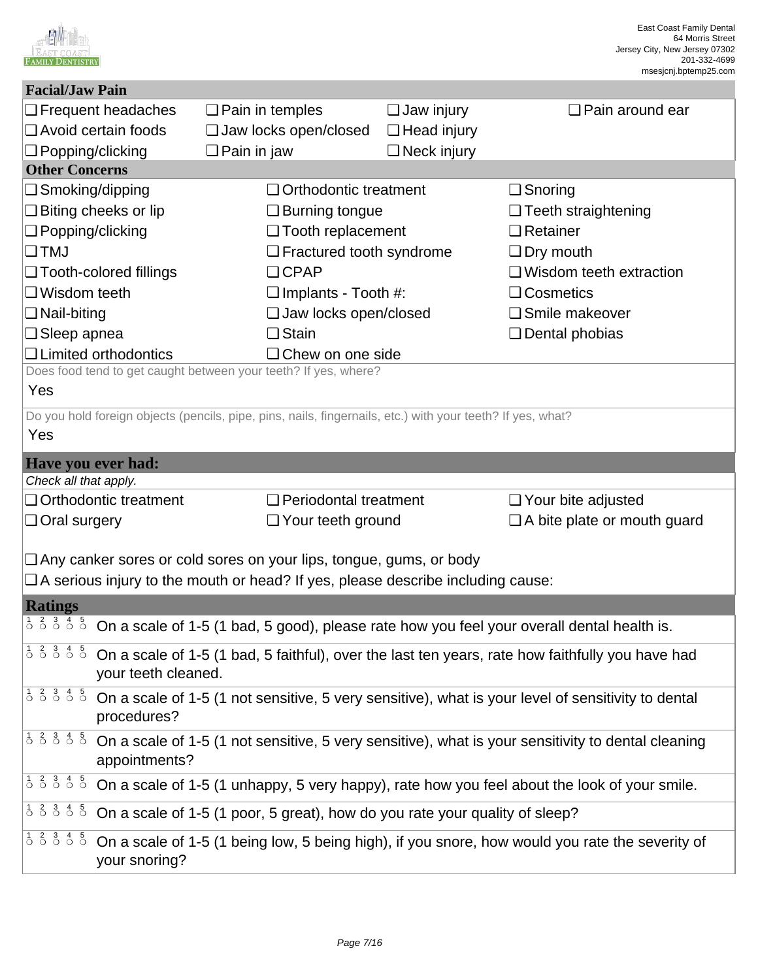|                                                                                                           |                                                                                                                                                                                                 |                        |                                                                           |                                                                                                            | East Coast Family Dental<br>64 Morris Street<br>Jersey City, New Jersey 07302<br>201-332-4699<br>msesjcnj.bptemp25.com |
|-----------------------------------------------------------------------------------------------------------|-------------------------------------------------------------------------------------------------------------------------------------------------------------------------------------------------|------------------------|---------------------------------------------------------------------------|------------------------------------------------------------------------------------------------------------|------------------------------------------------------------------------------------------------------------------------|
| <b>Facial/Jaw Pain</b>                                                                                    |                                                                                                                                                                                                 |                        |                                                                           |                                                                                                            |                                                                                                                        |
|                                                                                                           | $\Box$ Frequent headaches                                                                                                                                                                       | $\Box$ Pain in temples |                                                                           | $\Box$ Jaw injury                                                                                          | $\Box$ Pain around ear                                                                                                 |
| $\Box$ Avoid certain foods                                                                                |                                                                                                                                                                                                 |                        | $\Box$ Jaw locks open/closed                                              | $\Box$ Head injury                                                                                         |                                                                                                                        |
| $\Box$ Popping/clicking                                                                                   |                                                                                                                                                                                                 | $\Box$ Pain in jaw     |                                                                           | $\Box$ Neck injury                                                                                         |                                                                                                                        |
| <b>Other Concerns</b>                                                                                     |                                                                                                                                                                                                 |                        |                                                                           |                                                                                                            |                                                                                                                        |
| □ Smoking/dipping                                                                                         |                                                                                                                                                                                                 |                        | Orthodontic treatment                                                     |                                                                                                            | $\Box$ Snoring                                                                                                         |
| $\Box$ Biting cheeks or lip                                                                               |                                                                                                                                                                                                 |                        | $\Box$ Burning tongue                                                     |                                                                                                            | $\Box$ Teeth straightening                                                                                             |
| □ Popping/clicking                                                                                        |                                                                                                                                                                                                 |                        | $\Box$ Tooth replacement                                                  |                                                                                                            | $\Box$ Retainer                                                                                                        |
| $\square$ TMJ                                                                                             |                                                                                                                                                                                                 |                        | $\Box$ Fractured tooth syndrome                                           |                                                                                                            | $\Box$ Dry mouth                                                                                                       |
|                                                                                                           | □ Tooth-colored fillings                                                                                                                                                                        |                        | $\Box$ CPAP                                                               |                                                                                                            | $\Box$ Wisdom teeth extraction                                                                                         |
| $\Box$ Wisdom teeth                                                                                       |                                                                                                                                                                                                 |                        | $\Box$ Implants - Tooth #:                                                |                                                                                                            | □ Cosmetics                                                                                                            |
| $\Box$ Nail-biting                                                                                        |                                                                                                                                                                                                 |                        | $\Box$ Jaw locks open/closed                                              |                                                                                                            | □ Smile makeover                                                                                                       |
| $\Box$ Sleep apnea                                                                                        |                                                                                                                                                                                                 |                        | $\Box$ Stain                                                              |                                                                                                            | $\Box$ Dental phobias                                                                                                  |
|                                                                                                           | $\Box$ Limited orthodontics                                                                                                                                                                     |                        | $\Box$ Chew on one side                                                   |                                                                                                            |                                                                                                                        |
|                                                                                                           |                                                                                                                                                                                                 |                        | Does food tend to get caught between your teeth? If yes, where?           |                                                                                                            |                                                                                                                        |
| Yes                                                                                                       |                                                                                                                                                                                                 |                        |                                                                           |                                                                                                            |                                                                                                                        |
|                                                                                                           |                                                                                                                                                                                                 |                        |                                                                           | Do you hold foreign objects (pencils, pipe, pins, nails, fingernails, etc.) with your teeth? If yes, what? |                                                                                                                        |
| Yes                                                                                                       |                                                                                                                                                                                                 |                        |                                                                           |                                                                                                            |                                                                                                                        |
| Have you ever had:                                                                                        |                                                                                                                                                                                                 |                        |                                                                           |                                                                                                            |                                                                                                                        |
| Check all that apply.                                                                                     |                                                                                                                                                                                                 |                        |                                                                           |                                                                                                            |                                                                                                                        |
|                                                                                                           | □ Orthodontic treatment                                                                                                                                                                         |                        | <b>D</b> Periodontal treatment                                            |                                                                                                            | $\Box$ Your bite adjusted                                                                                              |
| $\Box$ Oral surgery                                                                                       |                                                                                                                                                                                                 |                        | □ Your teeth ground                                                       |                                                                                                            | $\Box$ A bite plate or mouth guard                                                                                     |
|                                                                                                           |                                                                                                                                                                                                 |                        |                                                                           |                                                                                                            |                                                                                                                        |
|                                                                                                           |                                                                                                                                                                                                 |                        | $\Box$ Any canker sores or cold sores on your lips, tongue, gums, or body |                                                                                                            |                                                                                                                        |
|                                                                                                           |                                                                                                                                                                                                 |                        |                                                                           | □ A serious injury to the mouth or head? If yes, please describe including cause:                          |                                                                                                                        |
| <b>Ratings</b>                                                                                            |                                                                                                                                                                                                 |                        |                                                                           |                                                                                                            |                                                                                                                        |
| $\begin{array}{cccccc} 1 & 2 & 3 & 4 & 5 \\ 0 & 0 & 0 & 0 & 0 \end{array}$                                |                                                                                                                                                                                                 |                        |                                                                           |                                                                                                            | On a scale of 1-5 (1 bad, 5 good), please rate how you feel your overall dental health is.                             |
| $\frac{1}{9}$ $\frac{2}{9}$ $\frac{3}{9}$ $\frac{4}{9}$ $\frac{5}{9}$                                     | your teeth cleaned.                                                                                                                                                                             |                        |                                                                           |                                                                                                            | On a scale of 1-5 (1 bad, 5 faithful), over the last ten years, rate how faithfully you have had                       |
| $\frac{1}{0}$ $\frac{2}{0}$ $\frac{3}{0}$ $\frac{4}{0}$ $\frac{5}{0}$                                     | On a scale of 1-5 (1 not sensitive, 5 very sensitive), what is your level of sensitivity to dental<br>procedures?                                                                               |                        |                                                                           |                                                                                                            |                                                                                                                        |
| $\begin{array}{cccccc}\n\frac{1}{2} & \frac{2}{2} & \frac{3}{2} & \frac{4}{2} & \frac{5}{2}\n\end{array}$ | On a scale of 1-5 (1 not sensitive, 5 very sensitive), what is your sensitivity to dental cleaning<br>appointments?                                                                             |                        |                                                                           |                                                                                                            |                                                                                                                        |
| $\frac{1}{9}$ $\frac{2}{9}$ $\frac{3}{9}$ $\frac{4}{9}$ $\frac{5}{9}$                                     |                                                                                                                                                                                                 |                        |                                                                           |                                                                                                            | On a scale of 1-5 (1 unhappy, 5 very happy), rate how you feel about the look of your smile.                           |
| $1\ 2\ 3\ 4\ 5$                                                                                           |                                                                                                                                                                                                 |                        |                                                                           |                                                                                                            |                                                                                                                        |
| $\begin{array}{ c c c c c }\n\hline\n1 & 2 & 3 & 4 & 5 \\ \hline\n0 & 0 & 0 & 0 & 0\n\end{array}$         | On a scale of 1-5 (1 poor, 5 great), how do you rate your quality of sleep?<br>On a scale of 1-5 (1 being low, 5 being high), if you snore, how would you rate the severity of<br>your snoring? |                        |                                                                           |                                                                                                            |                                                                                                                        |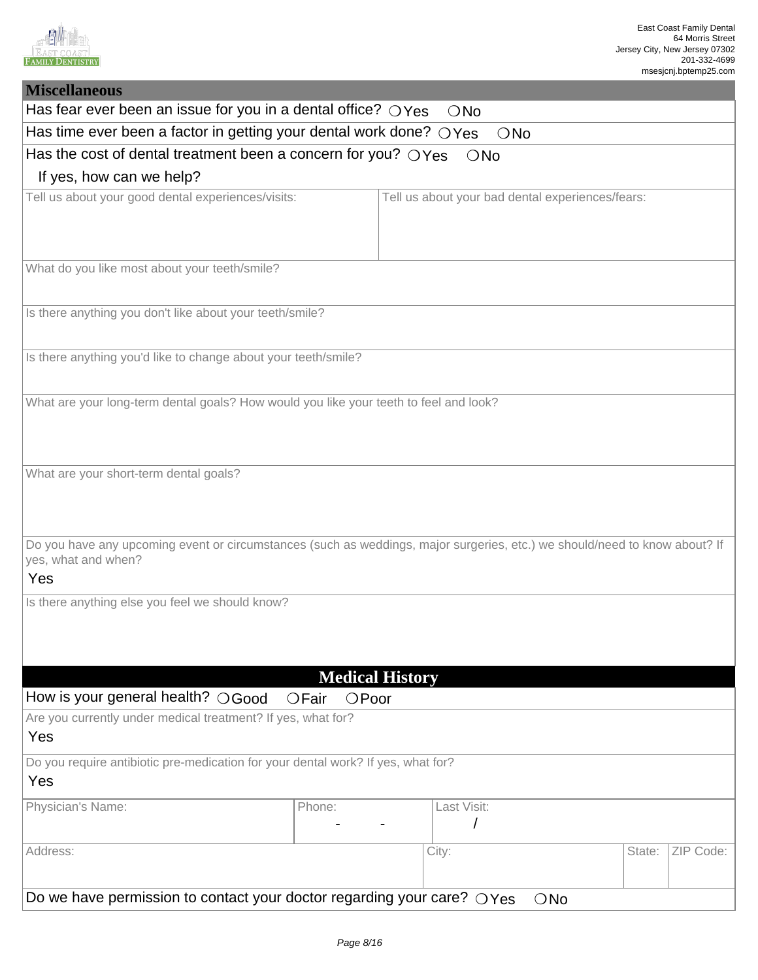

| <b>Miscellaneous</b>                                                                                                                                     |                                                                           |  |             |                                                  |        |           |  |
|----------------------------------------------------------------------------------------------------------------------------------------------------------|---------------------------------------------------------------------------|--|-------------|--------------------------------------------------|--------|-----------|--|
| Has fear ever been an issue for you in a dental office? $\bigcirc$ Yes<br>ONo                                                                            |                                                                           |  |             |                                                  |        |           |  |
|                                                                                                                                                          | Has time ever been a factor in getting your dental work done? OYes<br>ONo |  |             |                                                  |        |           |  |
| Has the cost of dental treatment been a concern for you? $OYes$ $ONo$                                                                                    |                                                                           |  |             |                                                  |        |           |  |
| If yes, how can we help?                                                                                                                                 |                                                                           |  |             |                                                  |        |           |  |
| Tell us about your good dental experiences/visits:                                                                                                       |                                                                           |  |             | Tell us about your bad dental experiences/fears: |        |           |  |
| What do you like most about your teeth/smile?                                                                                                            |                                                                           |  |             |                                                  |        |           |  |
| Is there anything you don't like about your teeth/smile?                                                                                                 |                                                                           |  |             |                                                  |        |           |  |
| Is there anything you'd like to change about your teeth/smile?                                                                                           |                                                                           |  |             |                                                  |        |           |  |
| What are your long-term dental goals? How would you like your teeth to feel and look?                                                                    |                                                                           |  |             |                                                  |        |           |  |
| What are your short-term dental goals?                                                                                                                   |                                                                           |  |             |                                                  |        |           |  |
| Do you have any upcoming event or circumstances (such as weddings, major surgeries, etc.) we should/need to know about? If<br>yes, what and when?<br>Yes |                                                                           |  |             |                                                  |        |           |  |
| Is there anything else you feel we should know?                                                                                                          |                                                                           |  |             |                                                  |        |           |  |
|                                                                                                                                                          | <b>Medical History</b>                                                    |  |             |                                                  |        |           |  |
| How is your general health? OGood                                                                                                                        | OFair<br>$O$ Poor                                                         |  |             |                                                  |        |           |  |
| Are you currently under medical treatment? If yes, what for?<br>Yes                                                                                      |                                                                           |  |             |                                                  |        |           |  |
| Do you require antibiotic pre-medication for your dental work? If yes, what for?<br>Yes                                                                  |                                                                           |  |             |                                                  |        |           |  |
| Physician's Name:                                                                                                                                        | Phone:                                                                    |  | Last Visit: |                                                  |        |           |  |
| Address:                                                                                                                                                 |                                                                           |  | City:       |                                                  | State: | ZIP Code: |  |
| Do we have permission to contact your doctor regarding your care? $\bigcirc$ Yes<br>ONo                                                                  |                                                                           |  |             |                                                  |        |           |  |
|                                                                                                                                                          |                                                                           |  |             |                                                  |        |           |  |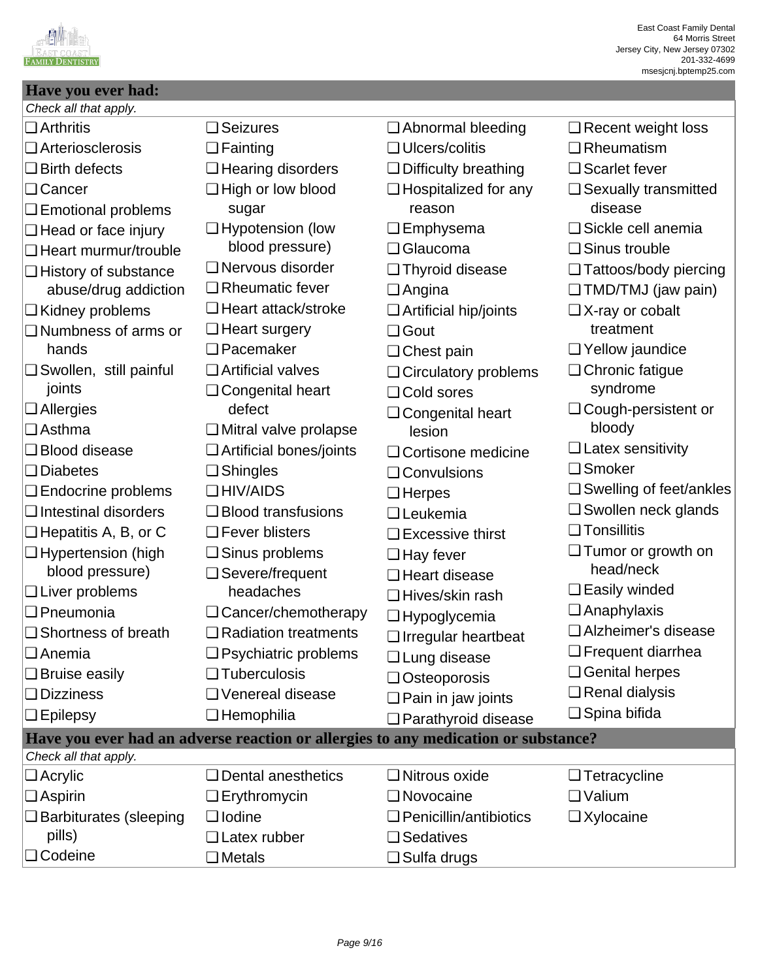

## **Have you ever had:** Check all that apply.

| $\Box$ Arthritis                 | $\Box$ Seizures                   | □ Abnormal bleeding                                                                | $\Box$ Recent weight loss              |
|----------------------------------|-----------------------------------|------------------------------------------------------------------------------------|----------------------------------------|
| $\Box$ Arteriosclerosis          | $\Box$ Fainting                   | $\Box$ Ulcers/colitis                                                              | $\Box$ Rheumatism                      |
| $\Box$ Birth defects             | $\Box$ Hearing disorders          | <b>Difficulty breathing</b>                                                        | $\Box$ Scarlet fever                   |
| □ Cancer<br>□ Emotional problems | $\Box$ High or low blood<br>sugar | $\Box$ Hospitalized for any<br>reason                                              | $\Box$ Sexually transmitted<br>disease |
| $\Box$ Head or face injury       | $\Box$ Hypotension (low           | $\Box$ Emphysema                                                                   | □ Sickle cell anemia                   |
| $\Box$ Heart murmur/trouble      | blood pressure)                   | □ Glaucoma                                                                         | □ Sinus trouble                        |
| $\Box$ History of substance      | □ Nervous disorder                | □ Thyroid disease                                                                  | □ Tattoos/body piercing                |
| abuse/drug addiction             | $\Box$ Rheumatic fever            | $\Box$ Angina                                                                      | $\Box$ TMD/TMJ (jaw pain)              |
| $\Box$ Kidney problems           | $\Box$ Heart attack/stroke        | Artificial hip/joints                                                              | $\Box$ X-ray or cobalt                 |
| $\Box$ Numbness of arms or       | $\Box$ Heart surgery              | □ Gout                                                                             | treatment                              |
| hands                            | $\Box$ Pacemaker                  | $\Box$ Chest pain                                                                  | □ Yellow jaundice                      |
| $\Box$ Swollen, still painful    | $\Box$ Artificial valves          | □ Circulatory problems                                                             | □ Chronic fatigue                      |
| joints                           | □ Congenital heart                | □ Cold sores                                                                       | syndrome                               |
| $\Box$ Allergies                 | defect                            | $\Box$ Congenital heart                                                            | $\Box$ Cough-persistent or             |
| l <b>❑</b> Asthma                | $\Box$ Mitral valve prolapse      | lesion                                                                             | bloody                                 |
| □ Blood disease                  | $\Box$ Artificial bones/joints    | □ Cortisone medicine                                                               | $\Box$ Latex sensitivity               |
| $\Box$ Diabetes                  | $\Box$ Shingles                   | $\Box$ Convulsions                                                                 | □ Smoker                               |
| $\Box$ Endocrine problems        | $\Box$ HIV/AIDS                   | $\Box$ Herpes                                                                      | □ Swelling of feet/ankles              |
| $\Box$ Intestinal disorders      | $\Box$ Blood transfusions         | $\Box$ Leukemia                                                                    | $\Box$ Swollen neck glands             |
| $\Box$ Hepatitis A, B, or C      | $\Box$ Fever blisters             | $\Box$ Excessive thirst                                                            | $\Box$ Tonsillitis                     |
| □ Hypertension (high             | $\Box$ Sinus problems             | $\Box$ Hay fever                                                                   | □ Tumor or growth on                   |
| blood pressure)                  | $\Box$ Severe/frequent            | □ Heart disease                                                                    | head/neck                              |
| $\Box$ Liver problems            | headaches                         | □ Hives/skin rash                                                                  | $\Box$ Easily winded                   |
| <b>D</b> Pneumonia               | $\Box$ Cancer/chemotherapy        | □ Hypoglycemia                                                                     | $\Box$ Anaphylaxis                     |
| $\Box$ Shortness of breath       | $\Box$ Radiation treatments       | $\Box$ Irregular heartbeat                                                         | □ Alzheimer's disease                  |
| ∣❑ Anemia                        | $\Box$ Psychiatric problems       | □ Lung disease                                                                     | $\Box$ Frequent diarrhea               |
| $\Box$ Bruise easily             | $\Box$ Tuberculosis               | □ Osteoporosis                                                                     | <b>Genital herpes</b>                  |
| $\Box$ Dizziness                 | □ Venereal disease                | $\Box$ Pain in jaw joints                                                          | $\Box$ Renal dialysis                  |
| $\Box$ Epilepsy                  | $\Box$ Hemophilia                 | <b>Q</b> Parathyroid disease                                                       | $\Box$ Spina bifida                    |
|                                  |                                   | Have you ever had an adverse reaction or allergies to any medication or substance? |                                        |
| Check all that apply.            |                                   |                                                                                    |                                        |
| $\Box$ Acrylic                   | $\Box$ Dental anesthetics         | $\Box$ Nitrous oxide                                                               | $\Box$ Tetracycline                    |
| $\Box$ Aspirin                   | $\Box$ Erythromycin               | □ Novocaine                                                                        | $\Box$ Valium                          |
| $\Box$ Barbiturates (sleeping    | $\Box$ Iodine                     | $\Box$ Penicillin/antibiotics                                                      | $\Box$ Xylocaine                       |
| pills)                           | □ Latex rubber                    | □ Sedatives                                                                        |                                        |
| □ Codeine                        | $\Box$ Metals                     | $\Box$ Sulfa drugs                                                                 |                                        |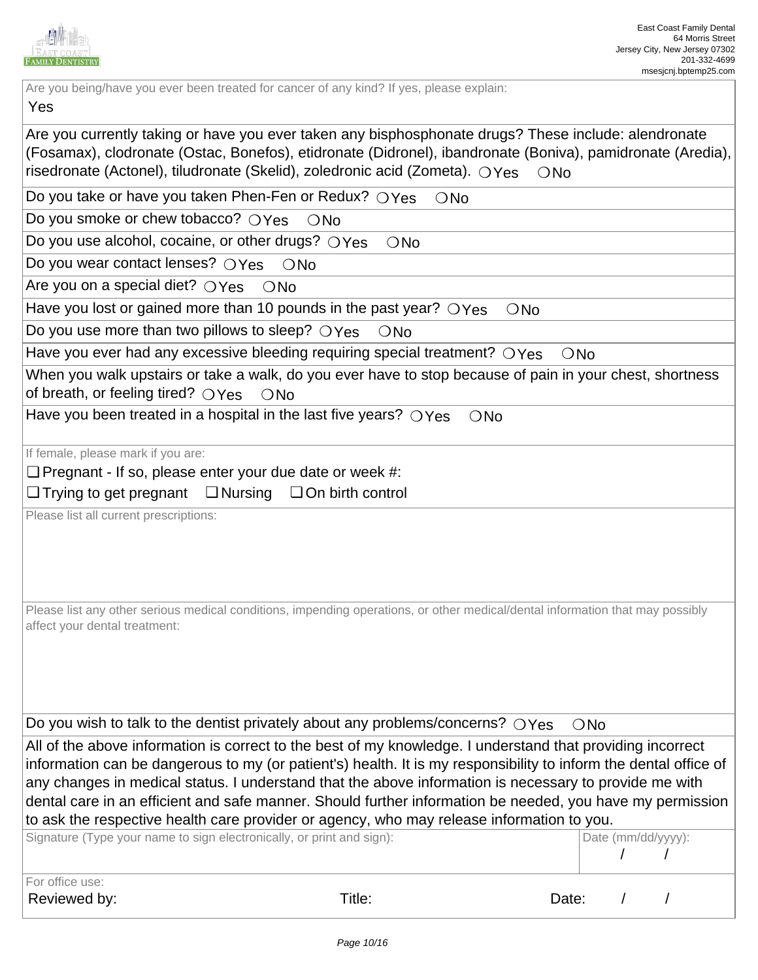

Are you being/have you ever been treated for cancer of any kind? If yes, please explain:

#### Yes

Are you currently taking or have you ever taken any bisphosphonate drugs? These include: alendronate No (Fosamax), clodronate (Ostac, Bonefos), etidronate (Didronel), ibandronate (Boniva), pamidronate (Aredia), risedronate (Actonel), tiludronate (Skelid), zoledronic acid (Zometa).  $\bigcirc$ Yes  $\hspace{0.15cm} \bigcirc$ No

Do you take or have you taken Phen-Fen or Redux?  $\bigcirc$ Yes  $\bigcirc$ No

Do you smoke or chew tobacco?  $\bigcirc$  Yes  $\bigcirc$  No

Do you use alcohol, cocaine, or other drugs?  $\bigcirc$ Yes  $\bigcirc$ No

Do you wear contact lenses?  $\bigcirc Y$ es  $\bigcirc$  No

Are you on a special diet?  $\bigcirc$  Yes  $\hspace{1.5mm}$   $\bigcirc$  No

Have you lost or gained more than 10 pounds in the past year?  $\bigcirc$  Yes  $\bigcirc$  No

Do you use more than two pillows to sleep?  $\bigcirc$  Yes  $\bigcirc$  No

Have you ever had any excessive bleeding requiring special treatment?  $\bigcirc$  Yes  $\hspace{1.5mm}$  ONo

When you walk upstairs or take a walk, do you ever have to stop because of pain in your chest, shortness of breath, or feeling tired?  $\bigcirc$ Yes  $\bigcirc$ No

Have you been treated in a hospital in the last five years?  $\bigcirc$  Yes  $\bigcirc$  No

If female, please mark if you are:

□ Pregnant - If so, please enter your due date or week #:

**□** Trying to get pregnant □ Nursing □ On birth control

Please list all current prescriptions:

Please list any other serious medical conditions, impending operations, or other medical/dental information that may possibly affect your dental treatment:

Do you wish to talk to the dentist privately about any problems/concerns?  $\bigcirc$ Yes  $\bigcirc$ No

All of the above information is correct to the best of my knowledge. I understand that providing incorrect information can be dangerous to my (or patient's) health. It is my responsibility to inform the dental office of any changes in medical status. I understand that the above information is necessary to provide me with dental care in an efficient and safe manner. Should further information be needed, you have my permission to ask the respective health care provider or agency, who may release information to you.

| Signature (Type your name to sign electronically, or print and sign): | Date (mm/dd/yyyy): |
|-----------------------------------------------------------------------|--------------------|
|                                                                       |                    |
|                                                                       |                    |
| l For office use: l                                                   |                    |

2021

2019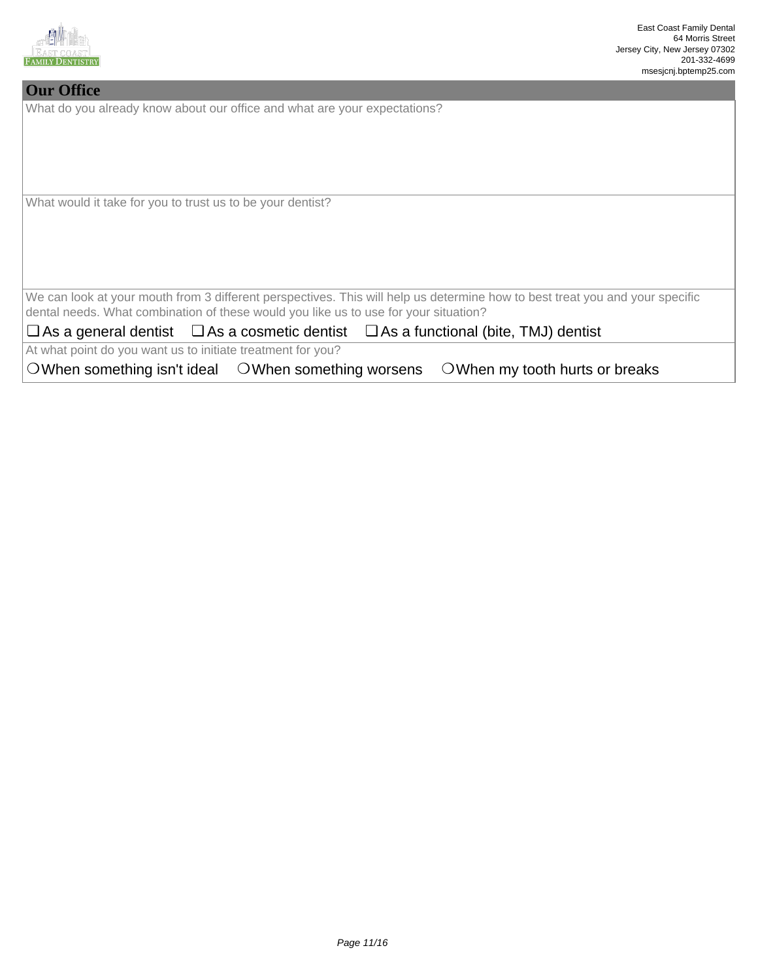

#### **Our Office**

What do you already know about our office and what are your expectations?

What would it take for you to trust us to be your dentist?

We can look at your mouth from 3 different perspectives. This will help us determine how to best treat you and your specific dental needs. What combination of these would you like us to use for your situation?

**□ As a general dentist** □ As a cosmetic dentist □ As a functional (bite, TMJ) dentist

At what point do you want us to initiate treatment for you?

 $\bigcirc$  When something isn't ideal  $\bigcirc$  When something worsens  $\bigcirc$  When my tooth hurts or breaks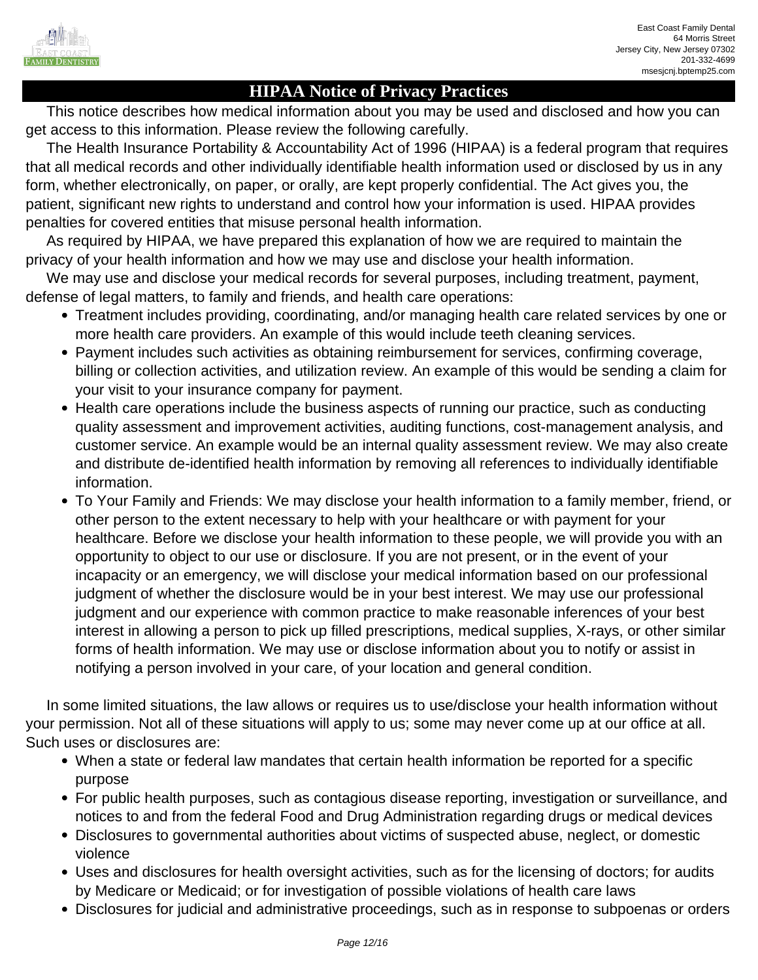

# **HIPAA Notice of Privacy Practices**

 This notice describes how medical information about you may be used and disclosed and how you can get access to this information. Please review the following carefully.

 The Health Insurance Portability & Accountability Act of 1996 (HIPAA) is a federal program that requires that all medical records and other individually identifiable health information used or disclosed by us in any form, whether electronically, on paper, or orally, are kept properly confidential. The Act gives you, the patient, significant new rights to understand and control how your information is used. HIPAA provides penalties for covered entities that misuse personal health information.

 As required by HIPAA, we have prepared this explanation of how we are required to maintain the privacy of your health information and how we may use and disclose your health information.

 We may use and disclose your medical records for several purposes, including treatment, payment, defense of legal matters, to family and friends, and health care operations:

- Treatment includes providing, coordinating, and/or managing health care related services by one or more health care providers. An example of this would include teeth cleaning services.
- Payment includes such activities as obtaining reimbursement for services, confirming coverage, billing or collection activities, and utilization review. An example of this would be sending a claim for your visit to your insurance company for payment.
- Health care operations include the business aspects of running our practice, such as conducting quality assessment and improvement activities, auditing functions, cost-management analysis, and customer service. An example would be an internal quality assessment review. We may also create and distribute de-identified health information by removing all references to individually identifiable information.
- To Your Family and Friends: We may disclose your health information to a family member, friend, or other person to the extent necessary to help with your healthcare or with payment for your healthcare. Before we disclose your health information to these people, we will provide you with an opportunity to object to our use or disclosure. If you are not present, or in the event of your incapacity or an emergency, we will disclose your medical information based on our professional judgment of whether the disclosure would be in your best interest. We may use our professional judgment and our experience with common practice to make reasonable inferences of your best interest in allowing a person to pick up filled prescriptions, medical supplies, X-rays, or other similar forms of health information. We may use or disclose information about you to notify or assist in notifying a person involved in your care, of your location and general condition.

 In some limited situations, the law allows or requires us to use/disclose your health information without your permission. Not all of these situations will apply to us; some may never come up at our office at all. Such uses or disclosures are:

- When a state or federal law mandates that certain health information be reported for a specific purpose
- For public health purposes, such as contagious disease reporting, investigation or surveillance, and notices to and from the federal Food and Drug Administration regarding drugs or medical devices
- Disclosures to governmental authorities about victims of suspected abuse, neglect, or domestic violence
- Uses and disclosures for health oversight activities, such as for the licensing of doctors; for audits by Medicare or Medicaid; or for investigation of possible violations of health care laws
- Disclosures for judicial and administrative proceedings, such as in response to subpoenas or orders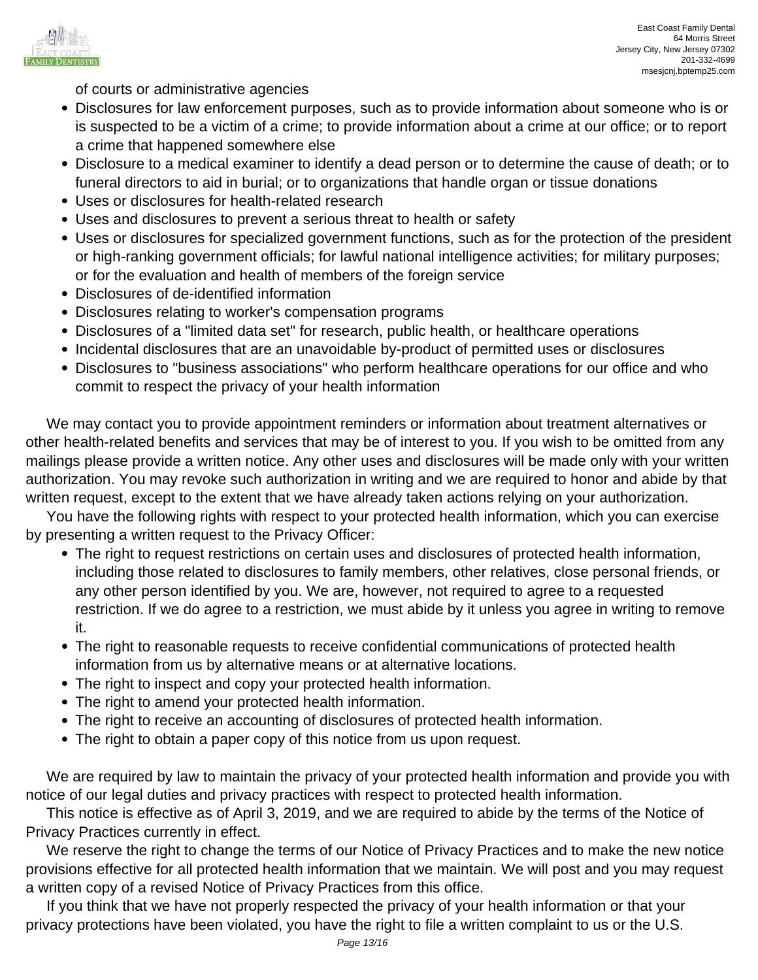

of courts or administrative agencies

- Disclosures for law enforcement purposes, such as to provide information about someone who is or is suspected to be a victim of a crime; to provide information about a crime at our office; or to report a crime that happened somewhere else
- Disclosure to a medical examiner to identify a dead person or to determine the cause of death; or to funeral directors to aid in burial; or to organizations that handle organ or tissue donations
- Uses or disclosures for health-related research
- Uses and disclosures to prevent a serious threat to health or safety
- Uses or disclosures for specialized government functions, such as for the protection of the president or high-ranking government officials; for lawful national intelligence activities; for military purposes; or for the evaluation and health of members of the foreign service
- Disclosures of de-identified information
- Disclosures relating to worker's compensation programs
- Disclosures of a "limited data set" for research, public health, or healthcare operations
- Incidental disclosures that are an unavoidable by-product of permitted uses or disclosures
- Disclosures to "business associations" who perform healthcare operations for our office and who commit to respect the privacy of your health information

 We may contact you to provide appointment reminders or information about treatment alternatives or other health-related benefits and services that may be of interest to you. If you wish to be omitted from any mailings please provide a written notice. Any other uses and disclosures will be made only with your written authorization. You may revoke such authorization in writing and we are required to honor and abide by that written request, except to the extent that we have already taken actions relying on your authorization.

 You have the following rights with respect to your protected health information, which you can exercise by presenting a written request to the Privacy Officer:

- The right to request restrictions on certain uses and disclosures of protected health information, including those related to disclosures to family members, other relatives, close personal friends, or any other person identified by you. We are, however, not required to agree to a requested restriction. If we do agree to a restriction, we must abide by it unless you agree in writing to remove it.
- The right to reasonable requests to receive confidential communications of protected health information from us by alternative means or at alternative locations.
- The right to inspect and copy your protected health information.
- The right to amend your protected health information.
- The right to receive an accounting of disclosures of protected health information.
- The right to obtain a paper copy of this notice from us upon request.

We are required by law to maintain the privacy of your protected health information and provide you with notice of our legal duties and privacy practices with respect to protected health information.

 This notice is effective as of April 3, 2019, and we are required to abide by the terms of the Notice of Privacy Practices currently in effect.

 We reserve the right to change the terms of our Notice of Privacy Practices and to make the new notice provisions effective for all protected health information that we maintain. We will post and you may request a written copy of a revised Notice of Privacy Practices from this office.

 If you think that we have not properly respected the privacy of your health information or that your privacy protections have been violated, you have the right to file a written complaint to us or the U.S.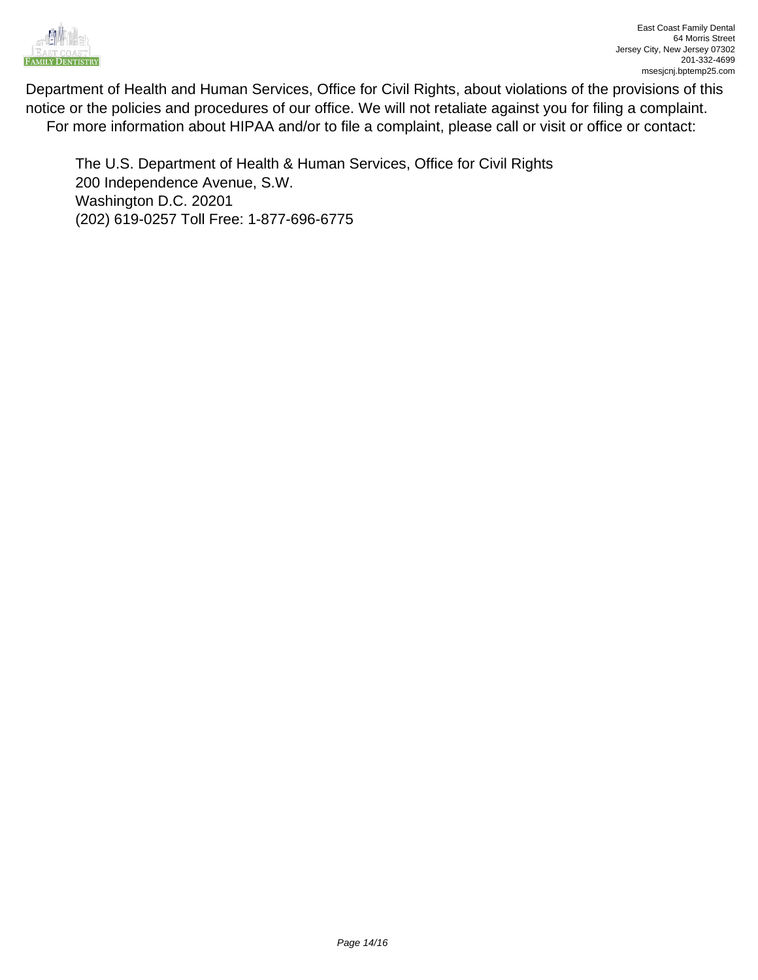

Department of Health and Human Services, Office for Civil Rights, about violations of the provisions of this notice or the policies and procedures of our office. We will not retaliate against you for filing a complaint. For more information about HIPAA and/or to file a complaint, please call or visit or office or contact:

The U.S. Department of Health & Human Services, Office for Civil Rights 200 Independence Avenue, S.W. Washington D.C. 20201 (202) 619-0257 Toll Free: 1-877-696-6775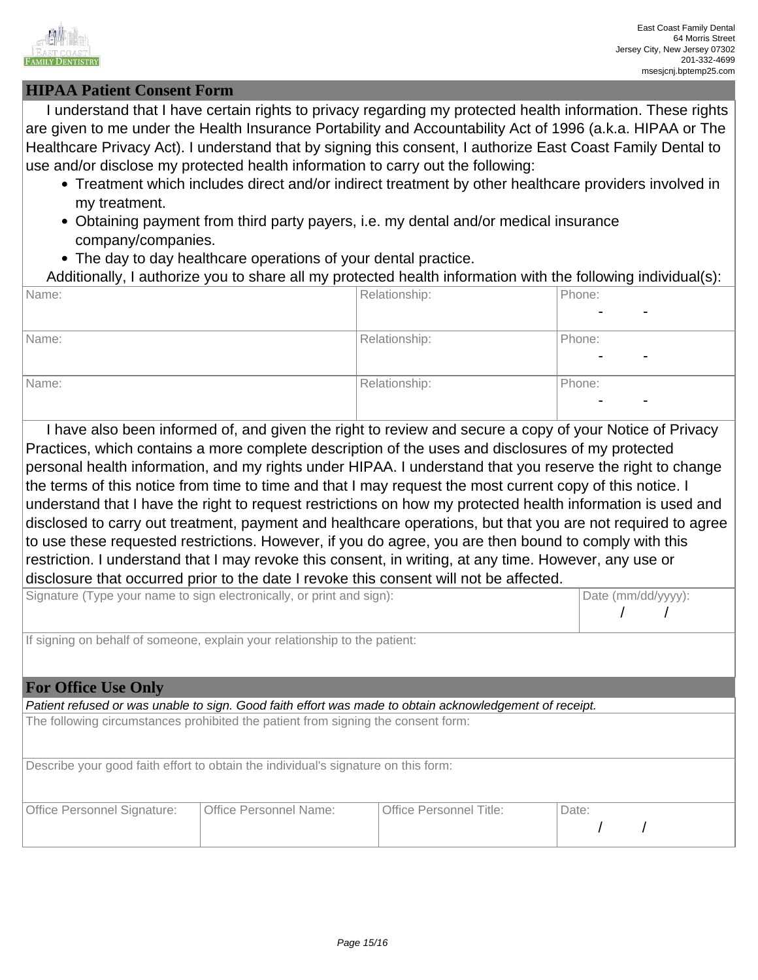

03

03

2021

2023

2026

 $\overline{a}$ 

08

08

## **HIPAA Patient Consent Form**

 I understand that I have certain rights to privacy regarding my protected health information. These rights are given to me under the Health Insurance Portability and Accountability Act of 1996 (a.k.a. HIPAA or The Healthcare Privacy Act). I understand that by signing this consent, I authorize East Coast Family Dental to use and/or disclose my protected health information to carry out the following:

- Treatment which includes direct and/or indirect treatment by other healthcare providers involved in my treatment.
- Obtaining payment from third party payers, i.e. my dental and/or medical insurance company/companies.
- The day to day healthcare operations of your dental practice.

| Additionally, I authorize you to share all my protected health information with the following individual(s): |  |  |
|--------------------------------------------------------------------------------------------------------------|--|--|

| Name: | Relationship: | Phone:                                     |
|-------|---------------|--------------------------------------------|
|       |               | $\blacksquare$<br>$\overline{\phantom{0}}$ |
| Name: | Relationship: | Phone:                                     |
|       |               | $\overline{\phantom{0}}$                   |
| Name: | Relationship: | Phone:                                     |
|       |               | $\blacksquare$<br>$\overline{\phantom{a}}$ |

 I have also been informed of, and given the right to review and secure a copy of your Notice of Privacy Practices, which contains a more complete description of the uses and disclosures of my protected personal health information, and my rights under HIPAA. I understand that you reserve the right to change the terms of this notice from time to time and that I may request the most current copy of this notice. I understand that I have the right to request restrictions on how my protected health information is used and disclosed to carry out treatment, payment and healthcare operations, but that you are not required to agree to use these requested restrictions. However, if you do agree, you are then bound to comply with this restriction. I understand that I may revoke this consent, in writing, at any time. However, any use or disclosure that occurred prior to the date I revoke this consent will not be affected.

| Signature (Type your name to sign electronically, or print and sign):    | Date (mm/dd/yyyy): |  |
|--------------------------------------------------------------------------|--------------------|--|
|                                                                          |                    |  |
| If signing on behalf of someone explain your relationship to the patient |                    |  |

If signing on behalf of someone, explain your relationship to the patient:

#### **For Office Use Only**

Patient refused or was unable to sign. Good faith effort was made to obtain acknowledgement of receipt.

The following circumstances prohibited the patient from signing the consent form:

Describe your good faith effort to obtain the individual's signature on this form:

| Office Personnel Signature: | Office Personnel Name: | <b>Office Personnel Title:</b> | Date: |
|-----------------------------|------------------------|--------------------------------|-------|
|                             |                        |                                |       |
|                             |                        |                                |       |